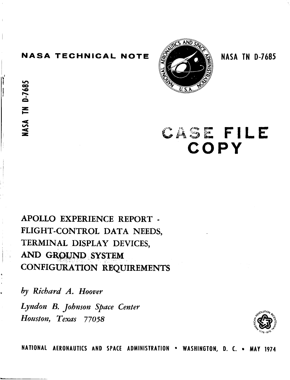### **NASA TECHNICAL NOTE ALL SERVICE IN 1888 TN 0-7685**

**m**  *00* \* **h** 

*z c* 



# **CASE FILE COPY**

# **APOLLO EXPERIENCE REPORT** - **FLIGHT-CONTROL DATA NEEDS, TERMINAL DISPLAY DEVICES,**  AND GROUND SYSTEM **CONFIGURATION REQUIREMENTS**

*by Richard A. Hoover Lyndon B. Johnson spuce Center Houston, Texus 77058* 



NATIONAL AERONAUTICS AND SPACE ADMINISTRATION . WASHINGTON, D. C. . MAY 1974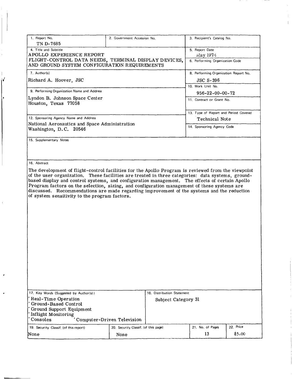| 1. Report No.                                                                                                                                                                                 | 2. Government Accession No.          |                            | 3. Recipient's Catalog No.            |           |
|-----------------------------------------------------------------------------------------------------------------------------------------------------------------------------------------------|--------------------------------------|----------------------------|---------------------------------------|-----------|
| TN D-7685                                                                                                                                                                                     |                                      |                            |                                       |           |
| 4. Title and Subtitle                                                                                                                                                                         |                                      |                            | 5. Report Date                        |           |
| APOLLO EXPERIENCE REPORT                                                                                                                                                                      |                                      |                            | May 1974                              |           |
| FLIGHT-CONTROL DATA NEEDS, TERMINAL DISPLAY DEVICES,<br>AND GROUND SYSTEM CONFIGURATION REQUIREMENTS                                                                                          |                                      |                            | 6. Performing Organization Code       |           |
| 7. Author(s)                                                                                                                                                                                  |                                      |                            | 8. Performing Organization Report No. |           |
| Richard A. Hoover, JSC                                                                                                                                                                        |                                      |                            | <b>JSC S-396</b><br>10. Work Unit No. |           |
| 9. Performing Organization Name and Address                                                                                                                                                   |                                      |                            | $956 - 22 - 00 - 00 - 72$             |           |
| Lyndon B. Johnson Space Center<br>Houston, Texas 77058                                                                                                                                        |                                      |                            | 11. Contract or Grant No.             |           |
|                                                                                                                                                                                               |                                      |                            | 13. Type of Report and Period Covered |           |
| 12. Sponsoring Agency Name and Address                                                                                                                                                        |                                      |                            | Technical Note                        |           |
| National Aeronautics and Space Administration<br>Washington, D.C. 20546                                                                                                                       |                                      |                            | 14. Sponsoring Agency Code            |           |
| 15. Supplementary Notes                                                                                                                                                                       |                                      |                            |                                       |           |
|                                                                                                                                                                                               |                                      |                            |                                       |           |
| 16. Abstract                                                                                                                                                                                  |                                      |                            |                                       |           |
| The development of flight-control facilities for the Apollo Program is reviewed from the viewpoint                                                                                            |                                      |                            |                                       |           |
| of the user organization. These facilities are treated in three categories: data systems, ground-                                                                                             |                                      |                            |                                       |           |
| based display and control systems, and configuration management. The effects of certain Apollo<br>Program factors on the selection, sizing, and configuration management of these systems are |                                      |                            |                                       |           |
| discussed. Recommendations are made regarding improvement of the systems and the reduction                                                                                                    |                                      |                            |                                       |           |
| of system sensitivity to the program factors.                                                                                                                                                 |                                      |                            |                                       |           |
|                                                                                                                                                                                               |                                      |                            |                                       |           |
|                                                                                                                                                                                               |                                      |                            |                                       |           |
|                                                                                                                                                                                               |                                      |                            |                                       |           |
|                                                                                                                                                                                               |                                      |                            |                                       |           |
|                                                                                                                                                                                               |                                      |                            |                                       |           |
|                                                                                                                                                                                               |                                      |                            |                                       |           |
|                                                                                                                                                                                               |                                      |                            |                                       |           |
|                                                                                                                                                                                               |                                      |                            |                                       |           |
|                                                                                                                                                                                               |                                      |                            |                                       |           |
|                                                                                                                                                                                               |                                      |                            |                                       |           |
|                                                                                                                                                                                               |                                      |                            |                                       |           |
|                                                                                                                                                                                               |                                      |                            |                                       |           |
|                                                                                                                                                                                               |                                      |                            |                                       |           |
|                                                                                                                                                                                               |                                      |                            |                                       |           |
|                                                                                                                                                                                               |                                      |                            |                                       |           |
|                                                                                                                                                                                               |                                      |                            |                                       |           |
| 17. Key Words (Suggested by Author(s))                                                                                                                                                        |                                      | 18. Distribution Statement |                                       |           |
| Real-Time Operation                                                                                                                                                                           |                                      | Subject Category 31        |                                       |           |
| Ground-Based Control                                                                                                                                                                          |                                      |                            |                                       |           |
| Ground Support Equipment                                                                                                                                                                      |                                      |                            |                                       |           |
| Inflight Monitoring<br>Consoles                                                                                                                                                               | Computer-Driven Television           |                            |                                       |           |
| 19. Security Classif. (of this report)                                                                                                                                                        | 20. Security Classif. (of this page) |                            | 21. No. of Pages                      | 22. Price |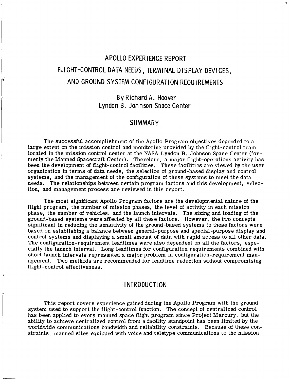# APOLLO EXPERIENCE REPORT FLI GHT-CONTROL DATA NEEDS, TERM1 NAL DISPLAY DEVICES, AND GROUND SYSTEM CONFI GURATION REQUIREMENTS

*li* 

### By Richard A. Hoover Lyndon B. Johnson Space Center

#### **SUMMARY**

The successful accomplishment of the Apollo Program objectives depended to a large extent on the mission control and monitoring provided by the flight-control team merly the Manned Spacecraft Center). Therefore, a major flight-operations activity has been the development of flight-control facilities. These facilities are viewed by the user organization in terms of data needs, the selection of ground-based display and control systems, and the management of the configuration of these systems to meet the data needs. The relationships between certain program factors and this development, selection, and management process are reviewed in this report. located in the mission control center at the NASA Lyndon B. Johnson Space Center (for-

The most significant Apollo Program factors are the developmental nature of the flight program, the number of mission phases, the level of activity in each mission phase, the number of vehicles, and the launch intervals. The sizing and loading of the ground-based systems were affected by all these factors. However, the two concepts significant in reducing the sensitivity of the ground-based systems to these factors were based on establishing a balance between general-purpose and special-purpose display and control systems and displaying a small amount of data with rapid access to all other data. The configuration-requirement leadtimes were also dependent on all the factors, especially the launch interval. Long leadtimes for configuration requirements combined with short launch intervals represented a major problem in configuration-requirement management. Two methods are recommended for leadtime reduction without compromising flight-control effectiveness.

#### **INTRODUCTION**

This report covers experience gained during the Apollo Program with the ground system used to support the flight-control function. The concept of centralized control has been applied to every manned space flight program since Project Mercury, but the ability to achieve centralized control from a facility standpoint has been limited by the worldwide communications bandwidth and reliability constraints. Because of these con straints, manned sites equipped with voice and teletype communications to the mission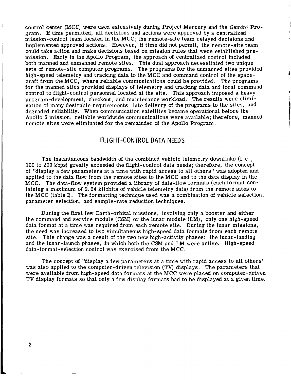control center (MCC) were used extensively during Project Mercury and the Gemini Program. If time permitted, all decisions and actions were approved by a centralized mission-control team located in the MCC; the remote-site team relayed decisions and implemented approved actions. However, if time did not permit, the remote-site team could take action and make decisions based on mission rules that were established premission. Early in the Apollo Program, the approach of centralized control included both manned and unmanned remote sites. This dual approach necessitated two unique sets of remote-site computer programs. The programs for the unmanned sites provided craft from the MCC, where reliable communications could be provided. The programs for the manned sites provided displays of telemetry and tracking data and local command control to flight-control personnel located at the site. This approach imposed a heavy program-development, checkout, and maintenance workload. The results were elimination of many desirable requirements, late delivery of the programs to the sites, and degraded reliability. When communication satellites became operational before the Apollo **5** mission, reliable worldwide communications were available; therefore, manned remote sites were eliminated for the remainder of the Apollo Program. high-speed telemetry and tracking data to the MCC and command control of the space-

**t** 

#### FLI GHT-CONTROL DATA NEEDS

The instantaneous bandwidth of the combined vehicle telemetry downlinks (i. e., 100 to 200 kbps) greatly exceeded the flight-control data needs; therefore, the concept of "display a few parameters at a time with rapid access to all others" was adopted and applied to the data flow from the remote sites to the MCC and to the data display in the MCC. The data-flow system provided a library of data-flow formats (each format containing a maximum of **2.24** kilobits of vehicle telemetry data) from the remote sites to the MCC (table I). The formatting technique used was a combination of vehicle selection, parameter selection, and sample-rate reduction techniques.

During the first few Earth-orbital missions, involving only a booster and either the command and service module (CSM) or the lunar module (LM), only one high-speed data format at a time was required from each remote site. During the lunar missions, the need was increased to two simultaneous high-speed data formats from each remote site. This change was a result of the two new high-activity phases: the lunar-landing and the lunar-launch phases, in which both the CSM and LM were active. High-speed data-format-selection control was exercised from the MCC.

The concept of "display a few parameters at a time with rapid access to all others" was also applied to the computer-driven television (TV) displays. The parameters that were available from high-speed data formats at the MCC were placed on computer-driven TV display formats so that only a few display formats had to be displayed at a given time.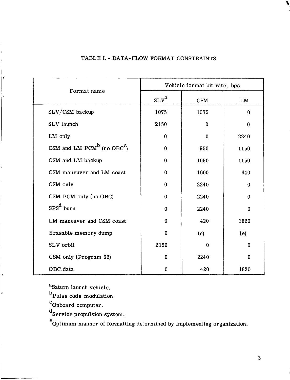| Format name                                        | Vehicle format bit rate, bps |          |          |  |
|----------------------------------------------------|------------------------------|----------|----------|--|
|                                                    | SLV <sup>a</sup>             | CSM      | LM       |  |
| SLV/CSM backup                                     | 1075                         | 1075     | $\bf{0}$ |  |
| SLV launch                                         | 2150                         | 0        | $\bf{0}$ |  |
| LM only                                            | 0                            | 0        | 2240     |  |
| CSM and LM PCM <sup>b</sup> (no OBC <sup>C</sup> ) | $\Omega$                     | 950      | 1150     |  |
| CSM and LM backup                                  | 0                            | 1050     | 1150     |  |
| CSM maneuver and LM coast                          | $\Omega$                     | 1600     | 640      |  |
| CSM only                                           | $\Omega$                     | 2240     | $\Omega$ |  |
| CSM PCM only (no OBC)                              | 0                            | 2240     | $\Omega$ |  |
| $SPSd$ burn                                        | 0                            | 2240     | $\bf{0}$ |  |
| LM maneuver and CSM coast                          | 0                            | 420      | 1820     |  |
| Erasable memory dump                               | $\bf{0}$                     | (e)      | (e)      |  |
| SLV orbit                                          | 2150                         | $\bf{0}$ | $\Omega$ |  |
| CSM only (Program 22)                              | $\bf{0}$                     | 2240     | $\bf{0}$ |  |
| OBC data                                           | $\Omega$                     | 420      | 1820     |  |

#### TABLE I. - DATA-FLOW FORMAT CONSTRAINTS

a<sub>Saturn</sub> launch vehicle.

 $<sup>b</sup>$ Pulse code modulation.</sup>

**<sup>C</sup>**Onboard computer.

 $\mathbf{r}$ 

d<br>Service propulsion system.

e Optimum manner of formatting determined by implementing organization.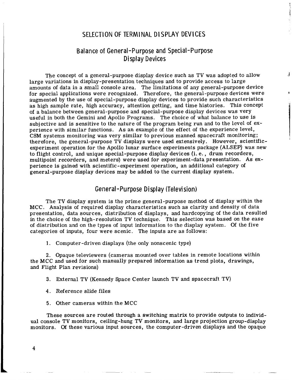#### SELECTION OF TERMINAL DISPLAY DEVICES

,

**I** 

#### Balance of General-Purpose and Special-Purpose Display Devices

The concept of a general-purpose display device such as TV was adopted to allow  $\frac{1}{2}$ large variations in display-presentation techniques and to provide access to large amounts of data in a small console area. The limitations of any general-purpose device for special applications were recognized. Therefore, the general-purpose devices were augmented by the use of special-purpose display devices to provide such characteristics as high sample rate, high accuracy, attention getting, and time histories. This concept of a balance between general-purpose and special-purpose display devices was very useful in both the Gemini and Apollo Programs. The choice of what balance to use is subjective and is sensitive to the nature of the program being run and to the level of experience with similar functions. As an example of the effect of the experience level, CSM systems monitoring was very similar to previous manned spacecraft monitoring; therefore, the general-purpose TV displays were used extensively. However, scientificexperiment operation for the Apollo lunar surface experiments package (ALSEP) was new to flight control, and unique special-purpose display devices (i. e., drum recorders, multipoint recorders, and meters) were used for experiment-data presentation. **As** experience is gained with scientific-experiment operation, an additional category of general-purpose display devices may be added to the current display system.

#### General-Purpose Display (Television)

The TV display system is the prime general-purpose method of display within the MCC. Analysis of required display characteristics such as clarity and density of data presentation, data sources, distribution of displays, and hardcopying of the data resulted in the choice of the high-resolution TV technique. This selection was based on the ease of distribution and on the types of input information to the display system. Of the five categories of inputs, four were scenic. The inputs are as follows:

1. Computer-driven displays (the only nonscenic type)

**2.** Opaque televiewers (cameras mounted over tables in remote locations within the MCC and used for such manually prepared information as trend plots, drawings, and Flight Plan revisions)

- **3.** External TV (Kennedy Space Center launch TV and spacecraft TV)
- **4.** Reference slide files
- 5. Other cameras within the MCC

These sources are routed through a switching matrix to provide outputs to individual console TV monitors, ceiling-hung TV monitors, and large projection group-display monitors. **Of** these various input sources, the computer-driven displays and the opaque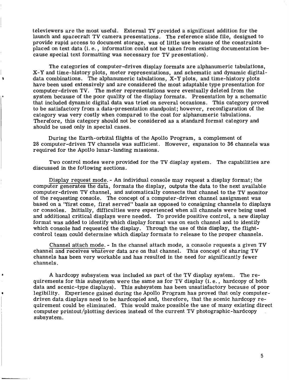televiewers are the most useful. External TV provided a significant addition for the launch and spacecraft TV camera presentations. The reference slide file, designed to provide rapid access to document storage, was of little use because of the constraints placed on text data (i. e., information could not be taken from existing documentation because special text formatting was necessary for TV presentation).

The categories of computer-driven display formats are alphanumeric tabulations, **X-Y** and time-history plots, meter representations, and schematic and dynamic digitaldata combinations. The alphanumeric tabulations, **X-Y** plots, and time-history plots have been used extensively and are considered the most adaptable type presentation for computer-driven TV. The meter representations were eventually deleted from the system because of the poor quality of the display formats. Presentation by a schematic that included dynamic digital data was tried on several occasions. This category proved to be satisfactory from a data-presentation standpoint; however, reconfiguration of the category was very costly when compared to the cost for alphanumeric tabulations. Therefore, this category should not be considered as a standard format category and should be used only in special cases.

×

During the Earth-orbital flights of the Apollo Program, a complement of **28** computer-driven TV channels was sufficient. However, expansion to **36** channels was required for the Apollo lunar-landing missions.

Two control modes were provided for the TV display system. The capabilities are discussed in the following sections.

Display request mode. - An individual console may request a display format; the computer generates the data, formats the display, outputs the data to the next available computer-driven TV channel, and automatically connects that channel to the TV monitor of the requesting console. The concept of a computer-driven channel assignment was based on a "first come, first served" basis as opposed to consigning channels to displays or consoles. Initially, difficulties were experienced when all channels were being used and additional critical displays were needed. To provide positive control, a new display format was added to identify which display format was on each channel and to identify which console had requested the display. Through the use of this display, the flightcontrol team could determine which display formats to release to the proper channels.

channel and receives whatever data are on that channel. This concept of sharing TV channels has been very workable and has resulted in the need for significantly fewer channels. Channel attach mode. - In the channel attach mode, a console requests a given TV

A hardcopy subsystem was included as part of the TV display system. The requirements for this subsystem were the same as for TV display (i. e., hardcopy of both data and scenic-type displays). This subsystem has been unsatisfactory because of poor legibility. Experience gained during the Apollo Program has proved that only computerdriven data displays need to be hardcopied and, therefore, that the scenic hardcopy requirement could be eliminated. This would make possible the use of many existing direct computer printout/plotting devices instead of the current TV photographic-hardcopy subsystem.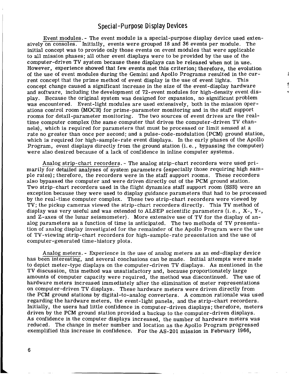#### **Special** - Pu **rpose D** i **splay Devices**

Event modules. - The event module is a special-purpose display device used extensively on consoles. Initially, events were grouped 18 and **36** events per module. The initial concept was to provide only those events on event modules that were applicable to all mission phases; all other event displays were to be provided by the use of the computer-driven TV system because these displays can be released when not in use. However, experience showed that few events met this criterion; therefore, the evolution of the use of event modules during the Gemini and Apollo Programs resulted in the current concept that the prime method of event display is the use of event lights. This concept change caused a significant increase in the size of the event-display hardware and software, including the development of 72-event modules for high-density event display. Because the original system was designed for expansion, no significant problem was encountered. Event-light modules are used extensively, both in the mission operations control room (MOCR) for prime-parameter monitoring and in the staff support rooms for detail-parameter monitoring. The two sources of event drives are the realtime computer complex (the same computer that drives the computer-driven TV channels), which is required for parameters that must be processed or limit sensed at a rate no greater than once per second; and a pulse-code-modulation (PCM) ground station, which is required for high-sample-rate event displays. In the early phases of the Apollo Program, event displays directly from the ground station (i. e., bypassing the computer) were also desired because of a lack of confidence in inline computer systems.

I

Analog strip-chart recorders. - The analog strip-chart recorders were used primarily for detailed analyses of system parameters (especially those requiring high Sample rates) ; therefore, the recorders were in the staff support rooms. These recorders also bypassed the computer and were driven directly out of the PCM ground station. Two strip-chart recorders used in the flight dynamics staff support room (SSR) were an exception because they were used to display guidance parameters that had to be processed by the real-time computer complex. These two strip-chart recorders were viewed by TV; the pickup cameras viewed the strip-chart recorders directly. This TV method of display was very useful and was extended to  $ALSEP$  scientific parameters (i.e., X-, Y-, and Z-axes of the lunar seismometer). More extensive use of TV for the display of analog parameters as a function of time is anticipated. The two methods of TV presentation of analog display investigated for the remainder of the Apollo Program were the use of TV-viewing strip-chart recorders for high-sample-rate presentation and the use of computer-generated time-history plots.

Analog meters. - Experience in the use of analog meters as an end-display device has been interesting, and several conclusions can be made. Initial attempts were made to depict meter-type displays on the computer-driven TV displays. As mentioned in the TV discussion, this method was unsatisfactory and, because proportionately large amounts of computer capacity were required, the method was discontinued. The use of hardware meters increased immediately after the elimination of meter representations on computer-driven TV displays. These hardware meters were driven directly from the PCM ground stations by digital-to-analog converters. **A** common rationale was used regarding the hardware meters, the event-light panels, and the strip-chart recorders. Initially, the users had little confidence in computer-driven displays; therefore, meters driven by the PCM ground station provided a backup to the computer-driven displays. As confidence in the computer displays increased, the number of hardware meters was reduced. The change in meter number and location as the Apollo Program progressed exemplified this increase in confidence. For the AS-201 mission in February 1966,

6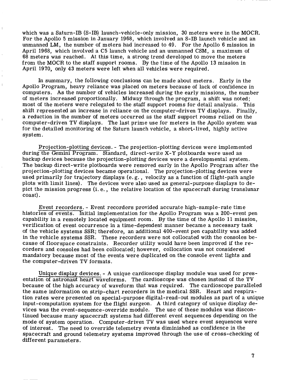which was a Saturn-IB (S-IB) launch-vehicle-only mission, **30** meters were in the MOCR. For the Apollo 5 mission in January 1968, which involved an S-IB launch vehicle and an unmanned LM, the number of meters had increased to 49. For the Apollo 6 mission in April 1968, which involved a C5 launch vehicle and an unmanned CSM, a maximum of 68 meters was reached. At this time, a strong trend developed to move the meters from the MOCR to the staff support rooms. By the time of the Apollo **13** mission in April **1970,** only **43** meters were left when all vehicles were required.

 $\overline{\phantom{a}}$ 

In summary, the following conclusions can be made about meters. Early in the <sup>I</sup>Apollo Program, heavy reliance was placed on meters because of lack of confidence in computers. As the number of vehicles increased during the early missions, the number of meters increased proportionally. Midway through the program, a shift was noted; most of the meters were relegated to the staff support rooms for detail analysis. This shift represented an increase in reliance on the computer-driven TV displays. Finally, a reduction in the number of meters occurred as the staff support rooms relied on the computer-driven TV displays. The last prime use for meters in the Apollo system was for the detailed monitoring of the Saturn launch vehicle, a short-lived, highly active system.

Projection-plotting devices. - The projection-plotting devices were implemented during the Gemini Program. Standard, direct-write X-Y plotboards were used as backup devices because the proj ection-plotting devices were a developmental system, The backup direct-write plotboards were removed early in the Apollo Program after the projection-plotting devices became operational. The projection-plotting devices were used primarily for trajectory displays (e. g. , velocity as a function of flight-path angle plots with limit lines). The devices were also used as general-purpose displays to depict the mission progress (i. e., the relative location of the spacecraft during translunar coast).

Event recorders. - Event recorders provided accurate high-sample-rate time histories of events. Initial implementation for the Apollo Program was a 200-event pen capability in a remotely located equipment room. By the time of the Apollo **11** mission, verification of event occurrence in a time-dependent manner became a necessary task of the vehicle systems SSR; therefore, an additional 400-event pen capability was added in the vehicle systems SSR. These recorders were not collocated with the consoles because of floorspace constraints. Recorder utility would have been improved if the recorders and consoles had been collocated; however, collocation was not considered mandatory because most of the events were duplicated on the console event lights and the computer-driven TV formats.

Unique display devices. - A unique cardioscope display module was used for presentation of astronaut heart waveforms. The cardioscope was chosen instead of the TV because of the high accuracy of waveform that was required. The cardioscope paralleled the same information on strip-chart recorders in the medical **SSR.** Heart and respiration rates were presented on special-purpose digital-read-out modules as part of a unique input-computation system for the flight surgeon. A third category of unique display devices was the event-sequence-override module. The use of these modules was discontinued because many spacecraft systems had different event sequences depending on the mode of system operation. Computer-driven TV was used where event sequences were of interest. The need to override telemetry events diminished as confidence in the spacecraft and ground telemetry systems improved through the use of cross-checking of different parameters.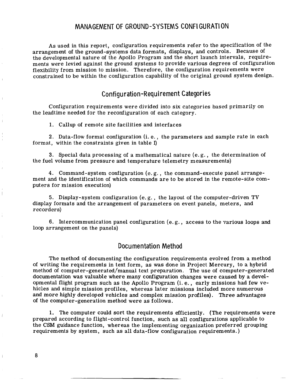#### MANAGEMENT OF GROUND-SYSTEMS CONFl GURATl ON

As used in this report, configuration requirements refer to the specification of the arrangement of the ground-systems data formats, displays, and controls. Because Of the developmental nature of the Apollo Program and the short launch intervals, requirements were levied against the ground systems to provide various degrees of configuration flexibility from mission to mission. Therefore, the configuration requirements were constrained to be within the configuration capability of the original ground system design.

#### Configuration-Requirement Categories

Configuration requirements were divided into **six** categories based primarily on the leadtime needed for the reconfiguration of each category.

1. Callup of remote site facilities and interfaces

**2.** Data-flow format configuration (i. e., the parameters and sample rate in each format, within the constraints given in table I)

**3.** Special data processing of a mathematical nature (e. g., the determination of the fuel volume from pressure and temperature telemetry measurements)

**4.** Command-system configuration (e. g. , the command-execute panel arrangement and the identification of which commands are to be stored in the remote-site computers for mission execution)

5. Display-system configuration (e. g. , the layout of the computer-driven TV display formats and the arrangement of parameters on event panels, meters, and recorders)

6. Intercommunication panel configuration (e.g., access to the various loops and loop arrangement on the panels)

#### Documentation Method

The method of documenting the configuration requirements evolved from a method of writing the requirements in text form, as was done in Project Mercury, to a hybrid method of computer-generated/manual text preparation. The use of computer-generated documentation was valuable where many configuration changes were caused by a developmental flight program such as the Apollo Program (i. e., early missions had few vehicles and simple mission profiles, whereas later missions included more numerous and more highly developed vehicles and complex mission profiles). Three advantages of the computer-generation method were as follows.

1. The computer could sort the requirements efficiently. (The requirements were prepared according to flight-control function, such as all configurations applicable to the CSM guidance function, whereas the implementing organization preferred grouping requirements by system, such as all data-flow configuration requirements.)

**8**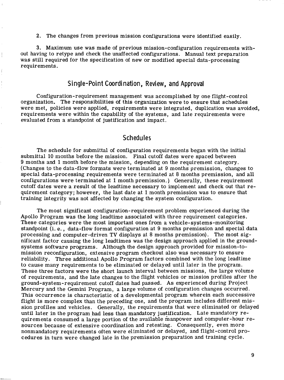**2.** The changes from previous mission configurations were identified easily.

**3.** Maximum use was made of previous mission-configuration requirements with lect in thaving to retype and check the unaffected configurations. Manual text preparation was still required for the specification of new or modified special data-processing requirements.

#### **Single-Point Coordination, Review, and Approval**

Configuration-requirement management was accomplished by one flight-control organization. The responsibilities of this organization were to ensure that schedules were met, policies were applied, requirements were integrated, duplication was avoided, requirements were within the capability of the systems, and late requirements were evaluated from a standpoint of justification and impact.

#### **S** ch **edu** I **es**

The schedule for submittal of configuration requirements began with the initial submittal 10 months before the mission. Final cutoff dates were spaced between 9 months and 1 month before the mission, depending on the requirement category. (Changes to the data-flow formats were terminated at 9 months premission, changes to special data-processing requirements were terminated at 8 months premission, and all configurations were terminated at 1 month premission. ) Generally, these requirement cutoff dates were a result of the leadtime necessary to implement and check out that requirement category; however, the last date at 1 month premission was to ensure that training integrity was not affected by changing the system configuration.

The most significant configuration-requirement problem experienced during the Apollo Program was the long leadtime associated with three requirement categories. These categories were the most important ones from a vehicle-systems-monitoring standpoint (i. *e.,* data-flow format configuration at 9 months premission and special data processing and computer-driven TV displays at 8 months premission). The most significant factor causing the long leadtimes was the design approach applied in the groundsystems software programs. Although the design approach provided for mission-tomission reconfiguration, extensive program checkout also was necessary to ensure reliability. Three additional Apollo Program factors combined with the long leadtime to cause many requirements to be eliminated or delayed until later in the program. These three factors were the short launch interval between missions, the large volume of requirements, and the late changes to the flight vehicles or mission profiles after the ground-system-requirement cutoff dates had passed. As experienced during Project Mercury and the Gemini Program, a large volume of configuration changes occurred. This occurrence is characteristic of a developmental program wherein each successive flight is more complex than the preceding one, and the program includes different mission profiles and vehicles. Generally, the requirements that were eliminated or delayed until later in the program had less than mandatory justification. Late mandatory requirements consumed a large portion of the available manpower and computer-hour resources because of extensive coordination and retesting. Consequently, even more nonmandatory requirements often were eliminated or delayed, and flight-control procedures in turn were changed late in the premission preparation and training cycle.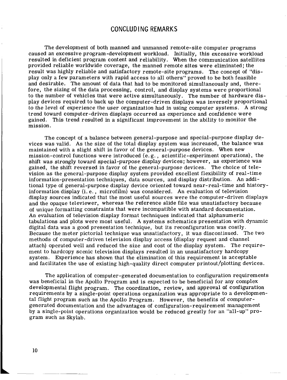#### **CONCLUDING REMARKS**

The development of both manned and unmanned remote-site computer programs caused an excessive program-development workload. Initially, this excessive workload resulted in deficient program content and reliability. When the communication satellites provided reliable worldwide coverage, the manned remote sites were eliminated; the result was highly reliable and satisfactory remote-site programs. The concept of "display only a few parameters with rapid access to all others" proved to be both feasible and desirable. The amount of data that had to be monitored simultaneously and, therefore, the sizing of the data processing, control, and display systems were proportional to the number of vehicles that were active simultaneously. The number of hardware display devices required to back up the computer-driven displays was inversely proportional to the level of experience the user organization had in using computer systems. A strong trend toward computer-driven displays occurred as experience and confidence were gained. This trend resulted in a significant improvement in the ability to monitor the mission.

The concept of a balance between general-purpose and special-purpose display devices was valid. As the size of the total display system was increased, the balance was maintained with a slight shift in favor of the general-purpose devices. When new mission-control functions were introduced  $(e, g, \ldots, g)$  scientific-experiment operations), the shift was strongly toward special-purpose display devices; however, as experience was gained, the shift reversed in favor of the general-purpose devices. The choice of television as the general-purpose display system provided excellent flexibility of real-time information-presentation techniques, data sources, and display distribution. An additional type of general-purpose display device oriented toward near-real-time and historyinformation display (i. e., microfilm) was considered. An evaluation of television display sources indicated that the most useful sources were the computer-driven displays and the opaque televiewer, whereas the reference slide file was unsatisfactory because **of** unique formatting constraints that were incompatible with standard documentation. An evaluation of television display format techniques indicated that alphanumeric tabulations and plots were most useful. A systems schematics presentation with dynamic digital data was a good presentation technique, but its reconfiguration was costly. Because the meter pictorial technique was unsatisfactory, it was discontinued. The two methods of computer-driven television display access (display request and channel attach) operated well and reduced the size and cost of the display system. The requirement to hardcopy scenic television displays resulted in an unsatisfactory hardcopy system. Experience has shown that the elimination of this requirement is acceptable and facilitates the use of existing high-quality direct computer printout/plotting devices.

The application of computer-generated documentation to configuration requirements was beneficial in the Apollo Program and is expected to be beneficial for any complex developmental flight program. The coordination, review, and approval of configuration requirements by a single-point operations organization was appropriate to a developmental flight program such as the Apollo Program. However, the benefits of computergenerated documentation and the advantages of configuration-requirement management by a single-point operations organization would be reduced greatly for an "all-up" program such as Skylab.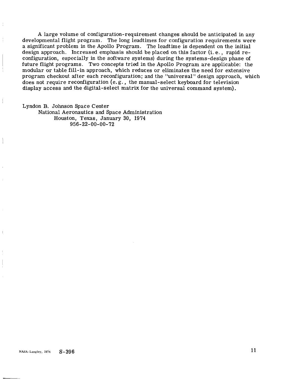A large volume of configuration-requirement changes should be anticipated in any developmental flight program. The long leadtimes for configuration requirements were a significant problem in the Apollo Program. The leadtime is dependent on the initial design approach. Increased emphasis should be placed on this factor (i. e., rapid reconfiguration, especially in the software systems) during the systems-design phase of future flight programs. Two concepts tried in the Apollo Program are applicable: the modular or table fill-in approach, which reduces or eliminates the need for extensive program checkout after each reconfiguration; and the "universal" design approach, which does not require reconfiguration (e. g., the manual-select keyboard for television display access and the digital-select matrix for the universal command system).

Lyndon B. Johnson Space Center National Aeronautics and Space Administration Houston, Texas, January 30, 1974 956-22-00-00-72